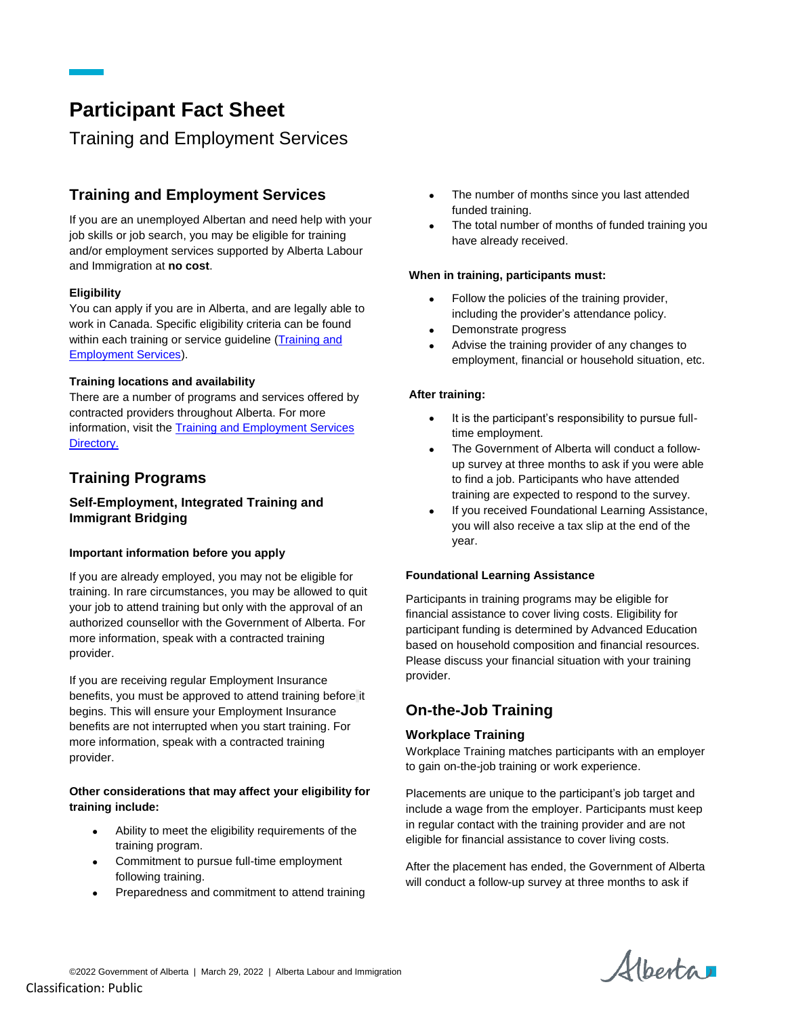# **Participant Fact Sheet**

# Training and Employment Services

# **Training and Employment Services**

If you are an unemployed Albertan and need help with your job skills or job search, you may be eligible for training and/or employment services supported by Alberta Labour and Immigration at **no cost**.

## **Eligibility**

You can apply if you are in Alberta, and are legally able to work in Canada. Specific eligibility criteria can be found within each training or service guideline (Training and [Employment Services\)](https://www.alberta.ca/training-work-programs.aspx).

## **Training locations and availability**

There are a number of programs and services offered by contracted providers throughout Alberta. For more information, visit th[e Training and Employment Services](https://www.alberta.ca/employment-training-services-directory.aspx)  [Directory.](https://www.alberta.ca/employment-training-services-directory.aspx)

## **Training Programs**

## **Self-Employment, Integrated Training and Immigrant Bridging**

## **Important information before you apply**

If you are already employed, you may not be eligible for training. In rare circumstances, you may be allowed to quit your job to attend training but only with the approval of an authorized counsellor with the Government of Alberta. For more information, speak with a contracted training provider.

If you are receiving regular Employment Insurance benefits, you must be approved to attend training before it begins. This will ensure your Employment Insurance benefits are not interrupted when you start training. For more information, speak with a contracted training provider.

#### **Other considerations that may affect your eligibility for training include:**

- Ability to meet the eligibility requirements of the training program.
- Commitment to pursue full-time employment following training.
- Preparedness and commitment to attend training
- The number of months since you last attended funded training.
- The total number of months of funded training you have already received.

## **When in training, participants must:**

- Follow the policies of the training provider, including the provider's attendance policy.
- Demonstrate progress
- Advise the training provider of any changes to employment, financial or household situation, etc.

#### **After training:**

- It is the participant's responsibility to pursue fulltime employment.
- The Government of Alberta will conduct a followup survey at three months to ask if you were able to find a job. Participants who have attended training are expected to respond to the survey.
- If you received Foundational Learning Assistance, you will also receive a tax slip at the end of the year.

#### **Foundational Learning Assistance**

Participants in training programs may be eligible for financial assistance to cover living costs. Eligibility for participant funding is determined by Advanced Education based on household composition and financial resources. Please discuss your financial situation with your training provider.

## **On-the-Job Training**

## **Workplace Training**

Workplace Training matches participants with an employer to gain on-the-job training or work experience.

Placements are unique to the participant's job target and include a wage from the employer. Participants must keep in regular contact with the training provider and are not eligible for financial assistance to cover living costs.

After the placement has ended, the Government of Alberta will conduct a follow-up survey at three months to ask if

Albertan